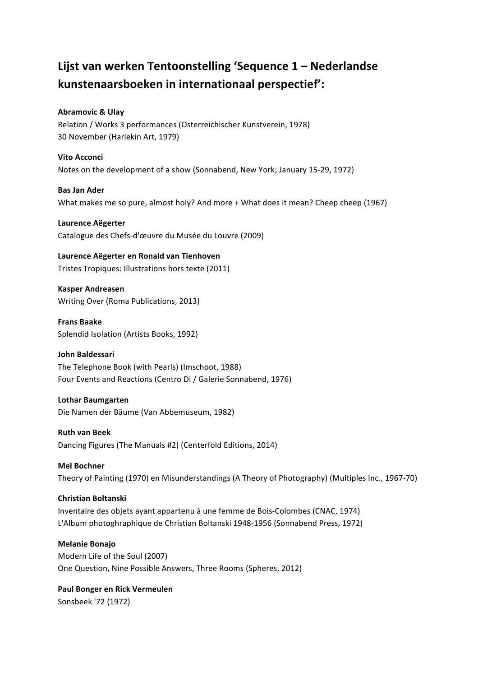## Lijst van werken Tentoonstelling 'Sequence 1 – Nederlandse **kunstenaarsboeken in internationaal perspectief':**

## **Abramovic & Ulay**

Relation / Works 3 performances (Osterreichischer Kunstverein, 1978) 30 November (Harlekin Art, 1979)

## **Vito Acconci**

Notes on the development of a show (Sonnabend, New York; January 15-29, 1972)

## **Bas Jan Ader**

What makes me so pure, almost holy? And more + What does it mean? Cheep cheep (1967)

**Laurence Aëgerter** Catalogue des Chefs-d'œuvre du Musée du Louvre (2009)

## **Laurence Aëgerter en Ronald van Tienhoven**

Tristes Tropiques: Illustrations hors texte (2011)

**Kasper Andreasen** Writing Over (Roma Publications, 2013)

**Frans Baake** Splendid Isolation (Artists Books, 1992)

## **John Baldessari** The Telephone Book (with Pearls) (Imschoot, 1988) Four Events and Reactions (Centro Di / Galerie Sonnabend, 1976)

## **Lothar Baumgarten**

Die Namen der Bäume (Van Abbemuseum, 1982)

## **Ruth van Beek**

Dancing Figures (The Manuals #2) (Centerfold Editions, 2014)

## **Mel Bochner**

Theory of Painting (1970) en Misunderstandings (A Theory of Photography) (Multiples Inc., 1967-70)

## **Christian Boltanski**

Inventaire des objets ayant appartenu à une femme de Bois-Colombes (CNAC, 1974) L'Album photoghraphique de Christian Boltanski 1948-1956 (Sonnabend Press, 1972)

## **Melanie Bonajo**

Modern Life of the Soul (2007) One Question, Nine Possible Answers, Three Rooms (Spheres, 2012)

**Paul Bonger en Rick Vermeulen** Sonsbeek '72 (1972)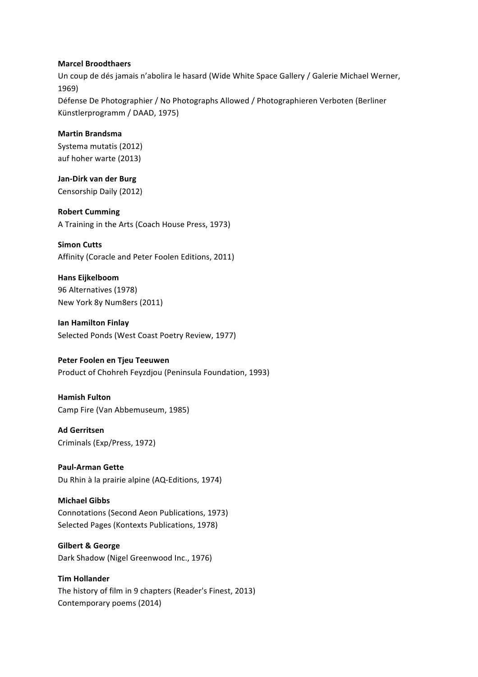#### **Marcel Broodthaers**

Un coup de dés jamais n'abolira le hasard (Wide White Space Gallery / Galerie Michael Werner, 1969) Défense De Photographier / No Photographs Allowed / Photographieren Verboten (Berliner Künstlerprogramm / DAAD, 1975)

#### **Martin Brandsma**

Systema mutatis (2012) auf hoher warte (2013)

**Jan-Dirk van der Burg** Censorship Daily (2012)

**Robert Cumming** A Training in the Arts (Coach House Press, 1973)

## **Simon Cutts**

Affinity (Coracle and Peter Foolen Editions, 2011)

## **Hans Eijkelboom**

96 Alternatives (1978) New York 8y Num8ers (2011)

## **Ian Hamilton Finlay** Selected Ponds (West Coast Poetry Review, 1977)

## **Peter Foolen en Tjeu Teeuwen**

Product of Chohreh Feyzdjou (Peninsula Foundation, 1993)

## **Hamish Fulton**

Camp Fire (Van Abbemuseum, 1985)

## **Ad Gerritsen** Criminals (Exp/Press, 1972)

## **Paul-Arman Gette** Du Rhin à la prairie alpine (AQ-Editions, 1974)

## **Michael Gibbs**

Connotations (Second Aeon Publications, 1973) Selected Pages (Kontexts Publications, 1978)

## **Gilbert & George**

Dark Shadow (Nigel Greenwood Inc., 1976)

# **Tim Hollander**

The history of film in 9 chapters (Reader's Finest, 2013) Contemporary poems (2014)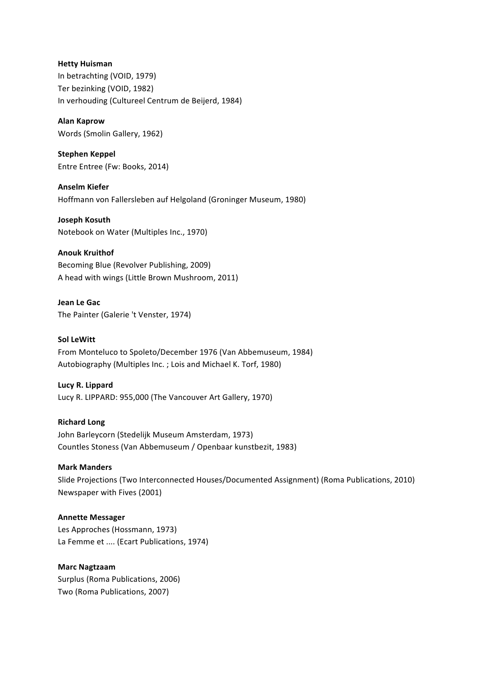## **Hetty Huisman** In betrachting (VOID, 1979) Ter bezinking (VOID, 1982) In verhouding (Cultureel Centrum de Beijerd, 1984)

**Alan Kaprow** Words (Smolin Gallery, 1962)

**Stephen Keppel** Entre Entree (Fw: Books, 2014)

**Anselm Kiefer** Hoffmann von Fallersleben auf Helgoland (Groninger Museum, 1980)

**Joseph Kosuth** Notebook on Water (Multiples Inc., 1970)

**Anouk Kruithof** Becoming Blue (Revolver Publishing, 2009) A head with wings (Little Brown Mushroom, 2011)

**Jean Le Gac** The Painter (Galerie 't Venster, 1974)

## **Sol LeWitt**

From Monteluco to Spoleto/December 1976 (Van Abbemuseum, 1984) Autobiography (Multiples Inc. ; Lois and Michael K. Torf, 1980)

## **Lucy R. Lippard**

Lucy R. LIPPARD: 955,000 (The Vancouver Art Gallery, 1970)

## **Richard Long**

John Barleycorn (Stedelijk Museum Amsterdam, 1973) Countles Stoness (Van Abbemuseum / Openbaar kunstbezit, 1983)

## **Mark Manders**

Slide Projections (Two Interconnected Houses/Documented Assignment) (Roma Publications, 2010) Newspaper with Fives (2001)

## **Annette Messager**

Les Approches (Hossmann, 1973) La Femme et .... (Ecart Publications, 1974)

## **Marc Nagtzaam**

Surplus (Roma Publications, 2006) Two (Roma Publications, 2007)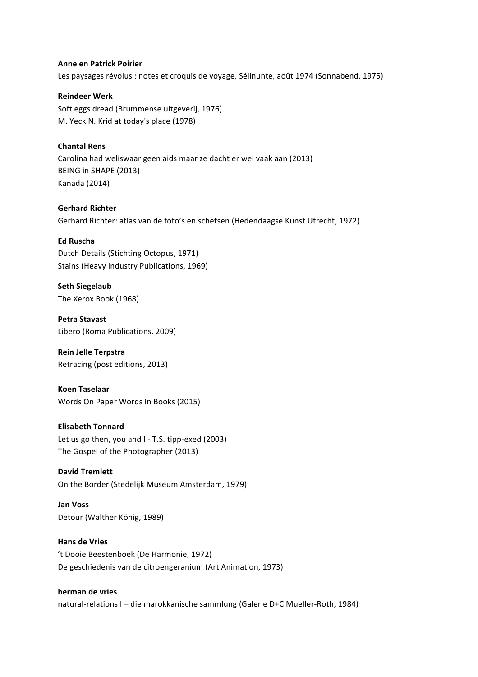#### **Anne en Patrick Poirier**

Les paysages révolus : notes et croquis de voyage, Sélinunte, août 1974 (Sonnabend, 1975)

**Reindeer Werk** Soft eggs dread (Brummense uitgeverij, 1976) M. Yeck N. Krid at today's place (1978)

## **Chantal Rens**

Carolina had weliswaar geen aids maar ze dacht er wel vaak aan (2013) BEING in SHAPE (2013) Kanada (2014)

**Gerhard Richter** Gerhard Richter: atlas van de foto's en schetsen (Hedendaagse Kunst Utrecht, 1972)

#### **Ed Ruscha**

Dutch Details (Stichting Octopus, 1971) Stains (Heavy Industry Publications, 1969)

**Seth Siegelaub** The Xerox Book (1968)

**Petra Stavast** Libero (Roma Publications, 2009)

**Rein Jelle Terpstra** Retracing (post editions, 2013)

**Koen Taselaar** Words On Paper Words In Books (2015)

## **Elisabeth Tonnard**

Let us go then, you and  $I - T.S.$  tipp-exed (2003) The Gospel of the Photographer (2013)

## **David Tremlett**

On the Border (Stedelijk Museum Amsterdam, 1979)

**Jan Voss** Detour (Walther König, 1989)

## **Hans de Vries**

't Dooie Beestenboek (De Harmonie, 1972) De geschiedenis van de citroengeranium (Art Animation, 1973)

## **herman de vries**

natural-relations I - die marokkanische sammlung (Galerie D+C Mueller-Roth, 1984)